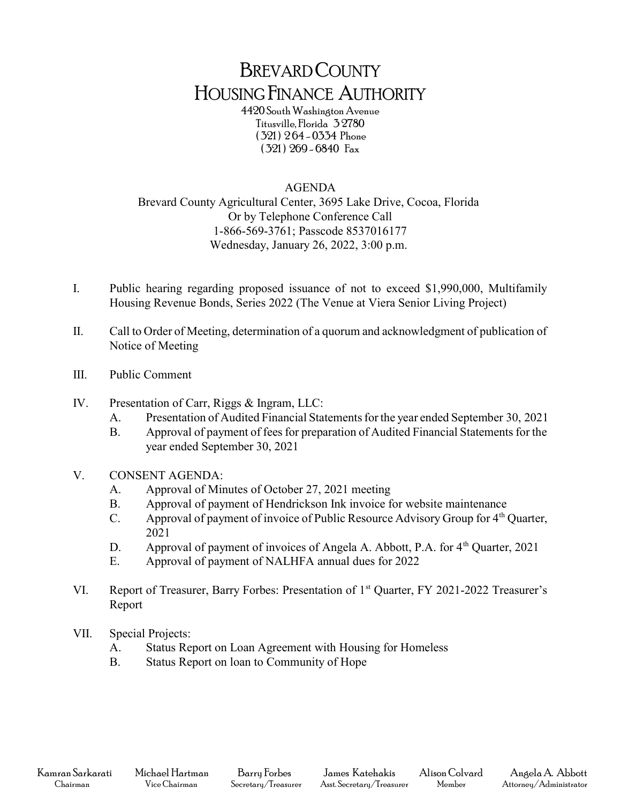## BREVARD COUNTY HOUSING FINANCE AUTHORITY

4420 South Washington Avenue Titusville, Florida 3 2780 ( 321 ) 2 64 - 0334 Phone ( 321 ) 269 - 6840 Fax

## AGENDA

Brevard County Agricultural Center, 3695 Lake Drive, Cocoa, Florida Or by Telephone Conference Call 1-866-569-3761; Passcode 8537016177 Wednesday, January 26, 2022, 3:00 p.m.

- I. Public hearing regarding proposed issuance of not to exceed \$1,990,000, Multifamily Housing Revenue Bonds, Series 2022 (The Venue at Viera Senior Living Project)
- II. Call to Order of Meeting, determination of a quorum and acknowledgment of publication of Notice of Meeting
- III. Public Comment
- IV. Presentation of Carr, Riggs & Ingram, LLC:
	- A. Presentation of Audited Financial Statements for the year ended September 30, 2021
	- B. Approval of payment of fees for preparation of Audited Financial Statements for the year ended September 30, 2021
- V. CONSENT AGENDA:
	- A. Approval of Minutes of October 27, 2021 meeting
	- B. Approval of payment of Hendrickson Ink invoice for website maintenance
	- C. Approval of payment of invoice of Public Resource Advisory Group for  $4<sup>th</sup>$  Quarter, 2021
	- D. Approval of payment of invoices of Angela A. Abbott, P.A. for  $4<sup>th</sup>$  Quarter, 2021
	- E. Approval of payment of NALHFA annual dues for 2022
- VI. Report of Treasurer, Barry Forbes: Presentation of 1<sup>st</sup> Quarter, FY 2021-2022 Treasurer's Report
- VII. Special Projects:
	- A. Status Report on Loan Agreement with Housing for Homeless
	- B. Status Report on loan to Community of Hope